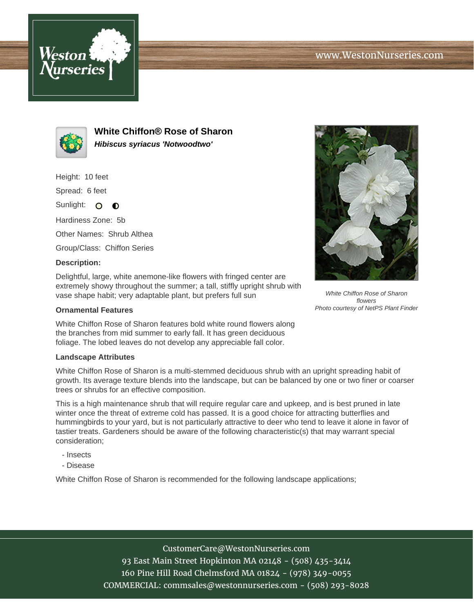



**White Chiffon® Rose of Sharon Hibiscus syriacus 'Notwoodtwo'**

Height: 10 feet

Spread: 6 feet

Sunlight: O  $\bullet$ 

Hardiness Zone: 5b

Other Names: Shrub Althea

Group/Class: Chiffon Series

## **Description:**

Delightful, large, white anemone-like flowers with fringed center are extremely showy throughout the summer; a tall, stiffly upright shrub with vase shape habit; very adaptable plant, but prefers full sun

## **Ornamental Features**

White Chiffon Rose of Sharon features bold white round flowers along the branches from mid summer to early fall. It has green deciduous foliage. The lobed leaves do not develop any appreciable fall color.

## **Landscape Attributes**

White Chiffon Rose of Sharon is a multi-stemmed deciduous shrub with an upright spreading habit of growth. Its average texture blends into the landscape, but can be balanced by one or two finer or coarser trees or shrubs for an effective composition.

This is a high maintenance shrub that will require regular care and upkeep, and is best pruned in late winter once the threat of extreme cold has passed. It is a good choice for attracting butterflies and hummingbirds to your yard, but is not particularly attractive to deer who tend to leave it alone in favor of tastier treats. Gardeners should be aware of the following characteristic(s) that may warrant special consideration;

- Insects
- Disease

White Chiffon Rose of Sharon is recommended for the following landscape applications;



White Chiffon Rose of Sharon flowers Photo courtesy of NetPS Plant Finder

CustomerCare@WestonNurseries.com

93 East Main Street Hopkinton MA 02148 - (508) 435-3414 160 Pine Hill Road Chelmsford MA 01824 - (978) 349-0055 COMMERCIAL: commsales@westonnurseries.com - (508) 293-8028